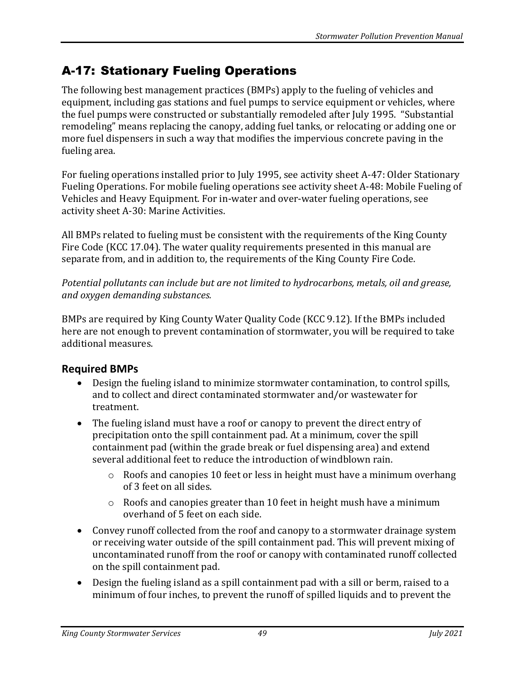# A-17: Stationary Fueling Operations

The following best management practices (BMPs) apply to the fueling of vehicles and equipment, including gas stations and fuel pumps to service equipment or vehicles, where the fuel pumps were constructed or substantially remodeled after July 1995. "Substantial remodeling" means replacing the canopy, adding fuel tanks, or relocating or adding one or more fuel dispensers in such a way that modifies the impervious concrete paving in the fueling area.

For fueling operations installed prior to July 1995, see activity sheet A-47: Older Stationary Fueling Operations. For mobile fueling operations see activity sheet A-48: Mobile Fueling of Vehicles and Heavy Equipment. For in-water and over-water fueling operations, see activity sheet A-30: Marine Activities.

All BMPs related to fueling must be consistent with the requirements of the King County Fire Code (KCC 17.04). The water quality requirements presented in this manual are separate from, and in addition to, the requirements of the King County Fire Code.

*Potential pollutants can include but are not limited to hydrocarbons, metals, oil and grease, and oxygen demanding substances.*

BMPs are required by King County Water Quality Code (KCC 9.12). If the BMPs included here are not enough to prevent contamination of stormwater, you will be required to take additional measures.

## **Required BMPs**

- Design the fueling island to minimize stormwater contamination, to control spills, and to collect and direct contaminated stormwater and/or wastewater for treatment.
- The fueling island must have a roof or canopy to prevent the direct entry of precipitation onto the spill containment pad. At a minimum, cover the spill containment pad (within the grade break or fuel dispensing area) and extend several additional feet to reduce the introduction of windblown rain.
	- $\circ$  Roofs and canopies 10 feet or less in height must have a minimum overhang of 3 feet on all sides.
	- $\circ$  Roofs and canopies greater than 10 feet in height mush have a minimum overhand of 5 feet on each side.
- Convey runoff collected from the roof and canopy to a stormwater drainage system or receiving water outside of the spill containment pad. This will prevent mixing of uncontaminated runoff from the roof or canopy with contaminated runoff collected on the spill containment pad.
- Design the fueling island as a spill containment pad with a sill or berm, raised to a minimum of four inches, to prevent the runoff of spilled liquids and to prevent the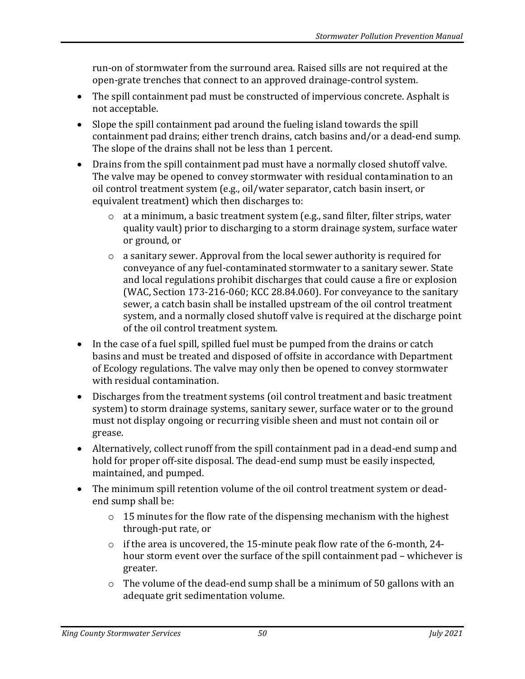run-on of stormwater from the surround area. Raised sills are not required at the open-grate trenches that connect to an approved drainage-control system.

- The spill containment pad must be constructed of impervious concrete. Asphalt is not acceptable.
- Slope the spill containment pad around the fueling island towards the spill containment pad drains; either trench drains, catch basins and/or a dead-end sump. The slope of the drains shall not be less than 1 percent.
- Drains from the spill containment pad must have a normally closed shutoff valve. The valve may be opened to convey stormwater with residual contamination to an oil control treatment system (e.g., oil/water separator, catch basin insert, or equivalent treatment) which then discharges to:
	- o at a minimum, a basic treatment system (e.g., sand filter, filter strips, water quality vault) prior to discharging to a storm drainage system, surface water or ground, or
	- o a sanitary sewer. Approval from the local sewer authority is required for conveyance of any fuel-contaminated stormwater to a sanitary sewer. State and local regulations prohibit discharges that could cause a fire or explosion (WAC, Section 173-216-060; KCC 28.84.060). For conveyance to the sanitary sewer, a catch basin shall be installed upstream of the oil control treatment system, and a normally closed shutoff valve is required at the discharge point of the oil control treatment system.
- In the case of a fuel spill, spilled fuel must be pumped from the drains or catch basins and must be treated and disposed of offsite in accordance with Department of Ecology regulations. The valve may only then be opened to convey stormwater with residual contamination.
- Discharges from the treatment systems (oil control treatment and basic treatment system) to storm drainage systems, sanitary sewer, surface water or to the ground must not display ongoing or recurring visible sheen and must not contain oil or grease.
- Alternatively, collect runoff from the spill containment pad in a dead-end sump and hold for proper off-site disposal. The dead-end sump must be easily inspected, maintained, and pumped.
- The minimum spill retention volume of the oil control treatment system or deadend sump shall be:
	- $\circ$  15 minutes for the flow rate of the dispensing mechanism with the highest through-put rate, or
	- $\circ$  if the area is uncovered, the 15-minute peak flow rate of the 6-month, 24hour storm event over the surface of the spill containment pad – whichever is greater.
	- o The volume of the dead-end sump shall be a minimum of 50 gallons with an adequate grit sedimentation volume.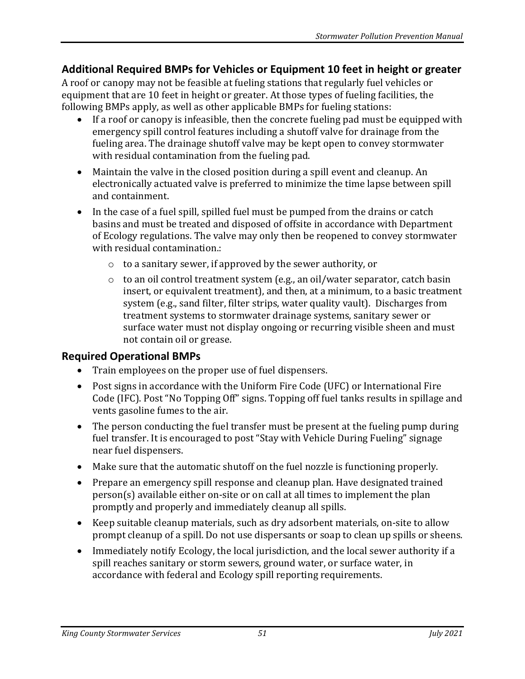### **Additional Required BMPs for Vehicles or Equipment 10 feet in height or greater**

A roof or canopy may not be feasible at fueling stations that regularly fuel vehicles or equipment that are 10 feet in height or greater. At those types of fueling facilities, the following BMPs apply, as well as other applicable BMPs for fueling stations:

- If a roof or canopy is infeasible, then the concrete fueling pad must be equipped with emergency spill control features including a shutoff valve for drainage from the fueling area. The drainage shutoff valve may be kept open to convey stormwater with residual contamination from the fueling pad.
- Maintain the valve in the closed position during a spill event and cleanup. An electronically actuated valve is preferred to minimize the time lapse between spill and containment.
- In the case of a fuel spill, spilled fuel must be pumped from the drains or catch basins and must be treated and disposed of offsite in accordance with Department of Ecology regulations. The valve may only then be reopened to convey stormwater with residual contamination.:
	- o to a sanitary sewer, if approved by the sewer authority, or
	- o to an oil control treatment system (e.g., an oil/water separator, catch basin insert, or equivalent treatment), and then, at a minimum, to a basic treatment system (e.g., sand filter, filter strips, water quality vault). Discharges from treatment systems to stormwater drainage systems, sanitary sewer or surface water must not display ongoing or recurring visible sheen and must not contain oil or grease.

#### **Required Operational BMPs**

- Train employees on the proper use of fuel dispensers.
- Post signs in accordance with the Uniform Fire Code (UFC) or International Fire Code (IFC). Post "No Topping Off" signs. Topping off fuel tanks results in spillage and vents gasoline fumes to the air.
- The person conducting the fuel transfer must be present at the fueling pump during fuel transfer. It is encouraged to post "Stay with Vehicle During Fueling" signage near fuel dispensers.
- Make sure that the automatic shutoff on the fuel nozzle is functioning properly.
- Prepare an emergency spill response and cleanup plan. Have designated trained person(s) available either on-site or on call at all times to implement the plan promptly and properly and immediately cleanup all spills.
- Keep suitable cleanup materials, such as dry adsorbent materials, on-site to allow prompt cleanup of a spill. Do not use dispersants or soap to clean up spills or sheens.
- Immediately notify Ecology, the local jurisdiction, and the local sewer authority if a spill reaches sanitary or storm sewers, ground water, or surface water, in accordance with federal and Ecology spill reporting requirements.